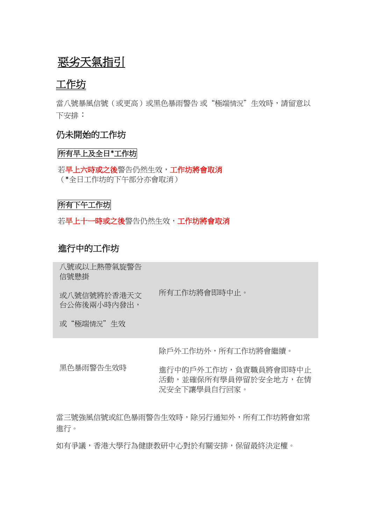# 惡劣天氣指引

# 工作坊

當八號暴風信號(或更高)或黑色暴雨警告 或"極端情況"生效時,請留意以 下安排:

## 仍未開始的工作坊

## 所有早上及全日**\***工作坊

若早上六時或之後警告仍然生效,工作坊將會取消 (\*全日工作坊的下午部分亦會取消)

## 所有下午工作坊

若早上十一時或之後警告仍然生效,工作坊將會取消

# 進行中的工作坊

八號或以上熱帶氣旋警告 信號懸掛

或八號信號將於香港天文 所有工作坊將會即時中止。

台公佈後兩小時內發出, 或"極端情況"生效

除戶外工作坊外,所有工作坊將會繼續。

黑色暴雨警告生效時 進行中的戶外工作坊,負責職員將會即時中止 活動,並確保所有學員停留於安全地方,在情 況安全下讓學員自行回家。

當三號強風信號或紅色暴雨警告生效時,除另行通知外,所有工作坊將會如常 進行。

如有爭議,香港大學行為健康教研中心對於有關安排,保留最終決定權。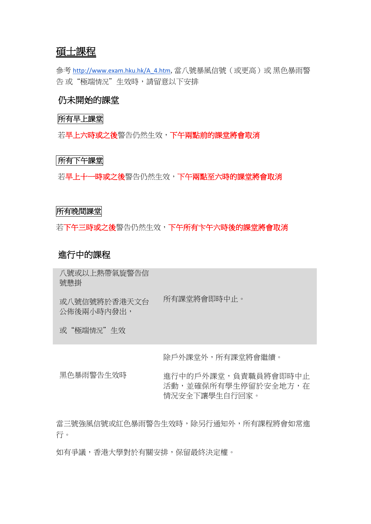# 碩士課程

參考 [http://www.exam.hku.hk/A\\_4.htm](http://www.exam.hku.hk/A_4.htm), 當八號暴風信號 (或更高)或 黑色暴雨警 告 或"極端情況"生效時,請留意以下安排

# 仍未開始的課堂

#### 所有早上課堂

若早上六時或之後警告仍然生效,下午兩點前的課堂將會取消

#### 所有下午課堂

若早上十一時或之後警告仍然生效,下午兩點至六時的課堂將會取消

#### 所有晚間課堂

若下午三時或之後警告仍然生效,下午所有卞午六時後的課堂將會取消

## 進行中的課程

八號或以上熱帶氣旋警告信 號懸掛

或八號信號將於香港天文台 公佈後兩小時內發出, 所有課堂將會即時中止。

或"極端情況"生效

除戶外課堂外,所有課堂將會繼續。

黑色暴雨警告生效時 進行中的戶外課堂,負責職員將會即時中止 活動,並確保所有學生停留於安全地方,存 情況安全下讓學生自行回家。

當三號強風信號或紅色暴雨警告生效時,除另行通知外,所有課程將會如常進 行。

如有爭議,香港大學對於有關安排,保留最終決定權。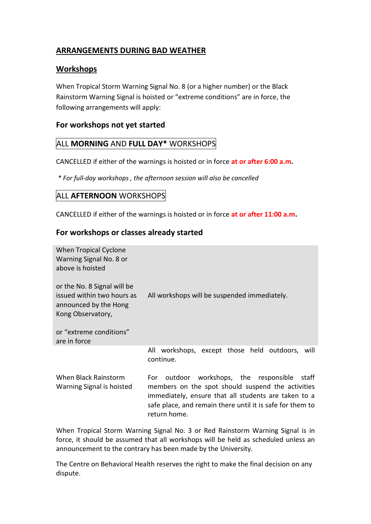# **ARRANGEMENTS DURING BAD WEATHER**

## **Workshops**

When Tropical Storm Warning Signal No. 8 (or a higher number) or the Black Rainstorm Warning Signal is hoisted or "extreme conditions" are in force, the following arrangements will apply:

## **For workshops not yet started**

## ALL **MORNING** AND **FULL DAY\*** WORKSHOPS

CANCELLED if either of the warnings is hoisted or in force **at or after 6:00 a.m.**

*\* For full-day workshops , the afternoon session will also be cancelled*

# ALL **AFTERNOON** WORKSHOPS

CANCELLED if either of the warnings is hoisted or in force **at or after 11:00 a.m.**

## **For workshops or classes already started**

| When Tropical Cyclone<br>Warning Signal No. 8 or<br>above is hoisted                                    |                                                                                                                                                                                                                                               |
|---------------------------------------------------------------------------------------------------------|-----------------------------------------------------------------------------------------------------------------------------------------------------------------------------------------------------------------------------------------------|
| or the No. 8 Signal will be<br>issued within two hours as<br>announced by the Hong<br>Kong Observatory, | All workshops will be suspended immediately.                                                                                                                                                                                                  |
| or "extreme conditions"<br>are in force                                                                 |                                                                                                                                                                                                                                               |
|                                                                                                         | All workshops, except those held outdoors, will<br>continue.                                                                                                                                                                                  |
| When Black Rainstorm<br>Warning Signal is hoisted                                                       | outdoor workshops, the responsible<br>For:<br>staff<br>members on the spot should suspend the activities<br>immediately, ensure that all students are taken to a<br>safe place, and remain there until it is safe for them to<br>return home. |

When Tropical Storm Warning Signal No. 3 or Red Rainstorm Warning Signal is in force, it should be assumed that all workshops will be held as scheduled unless an announcement to the contrary has been made by the University.

The Centre on Behavioral Health reserves the right to make the final decision on any dispute.